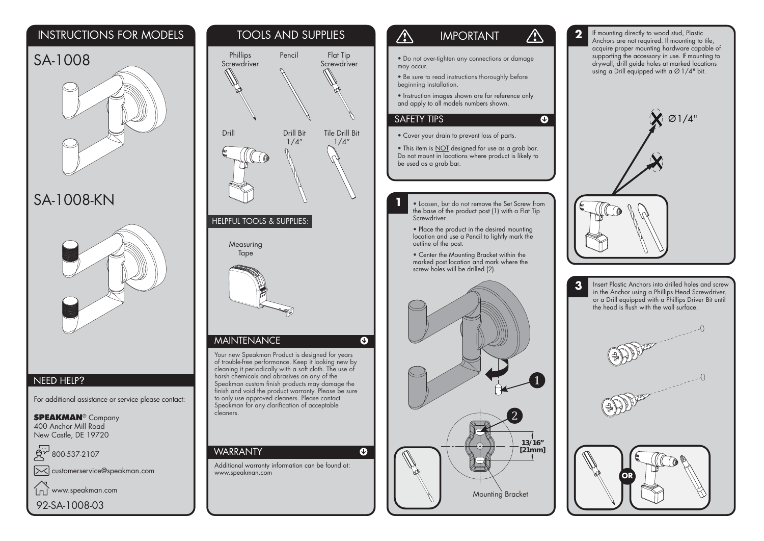## INSTRUCTIONS FOR MODELS





# SA-1008-KN



### NEED HELP?

For additional assistance or service please contact:

**SPEAKMAN® Company** 400 Anchor Mill RoadNew Castle, DE 19720

800-537-2107

customerservice@speakman.com

www.speakman.com  $\ln \tilde{ }$ 

92-SA-1008-03



#### $\bigwedge$ IMPORTANT

 $\bigwedge$ 

 $\overline{\mathbf{O}}$ 

• Do not over-tighten any connections or damage may occur.

• Be sure to read instructions thoroughly before beginning installation.

• Instruction images shown are for reference only and apply to all models numbers shown.

### SAFETY TIPS

**1**

• Cover your drain to prevent loss of parts.

• This item is <u>NOT</u> designed for use as a grab bar. Do not mount in locations where product is likely to be used as a grab bar.

 • Loosen, but do not remove the Set Screw from the base of the product post (1) with a Flat Tip Screwdriver.

• Place the product in the desired mounting location and use a Pencil to lightly mark the outline of the post.

• Center the Mounting Bracket within the marked post location and mark where the screw holes will be drilled (2).



**2** If mounting directly to wood stud, Plastic Anchors are not required. If mounting to tile, acquire proper mounting hardware capable of supporting the accessory in use. If mounting to drywall, drill guide holes at marked locations using a Drill equipped with  $\alpha \varnothing$  1/4" bit.



**3** Insert Plastic Anchors into drilled holes and screw in the Anchor using a Phillips Head Screwdriver, or a Drill equipped with a Phillips Driver Bit until the head is flush with the wall surface.